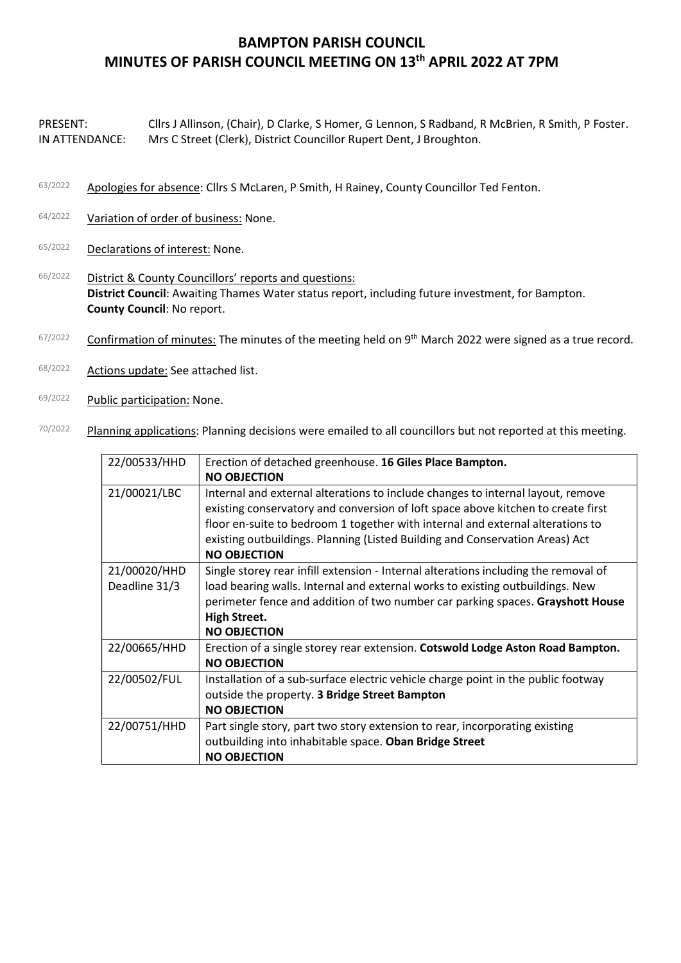## BAMPTON PARISH COUNCIL MINUTES OF PARISH COUNCIL MEETING ON 13th APRIL 2022 AT 7PM

PRESENT: Cllrs J Allinson, (Chair), D Clarke, S Homer, G Lennon, S Radband, R McBrien, R Smith, P Foster. IN ATTENDANCE: Mrs C Street (Clerk), District Councillor Rupert Dent, J Broughton.

- 63/2022 Apologies for absence: Cllrs S McLaren, P Smith, H Rainey, County Councillor Ted Fenton.
- 64/2022 Variation of order of business: None.
- 65/2022 Declarations of interest: None.
- 66/2022 District & County Councillors' reports and questions: District Council: Awaiting Thames Water status report, including future investment, for Bampton. County Council: No report.
- $67/2022$  Confirmation of minutes: The minutes of the meeting held on 9<sup>th</sup> March 2022 were signed as a true record.
- 68/2022 Actions update: See attached list.
- 69/2022 Public participation: None.
- 70/2022 Planning applications: Planning decisions were emailed to all councillors but not reported at this meeting.

| 22/00533/HHD                  | Erection of detached greenhouse. 16 Giles Place Bampton.<br><b>NO OBJECTION</b>                                                                                                                                                                                                                                                                              |
|-------------------------------|--------------------------------------------------------------------------------------------------------------------------------------------------------------------------------------------------------------------------------------------------------------------------------------------------------------------------------------------------------------|
| 21/00021/LBC                  | Internal and external alterations to include changes to internal layout, remove<br>existing conservatory and conversion of loft space above kitchen to create first<br>floor en-suite to bedroom 1 together with internal and external alterations to<br>existing outbuildings. Planning (Listed Building and Conservation Areas) Act<br><b>NO OBJECTION</b> |
| 21/00020/HHD<br>Deadline 31/3 | Single storey rear infill extension - Internal alterations including the removal of<br>load bearing walls. Internal and external works to existing outbuildings. New<br>perimeter fence and addition of two number car parking spaces. Grayshott House<br><b>High Street.</b><br><b>NO OBJECTION</b>                                                         |
| 22/00665/HHD                  | Erection of a single storey rear extension. Cotswold Lodge Aston Road Bampton.<br><b>NO OBJECTION</b>                                                                                                                                                                                                                                                        |
| 22/00502/FUL                  | Installation of a sub-surface electric vehicle charge point in the public footway<br>outside the property. 3 Bridge Street Bampton<br><b>NO OBJECTION</b>                                                                                                                                                                                                    |
| 22/00751/HHD                  | Part single story, part two story extension to rear, incorporating existing<br>outbuilding into inhabitable space. Oban Bridge Street<br><b>NO OBJECTION</b>                                                                                                                                                                                                 |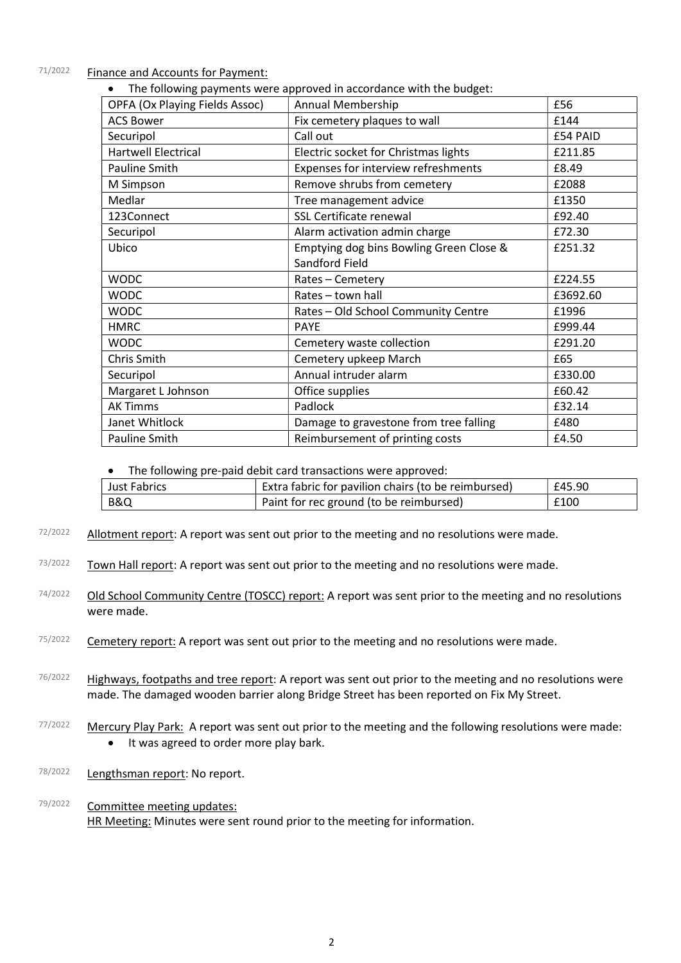## 71/2022 Finance and Accounts for Payment:

|                                       | The following payments were approved in accordance with the budget: |          |
|---------------------------------------|---------------------------------------------------------------------|----------|
| <b>OPFA (Ox Playing Fields Assoc)</b> | <b>Annual Membership</b>                                            | £56      |
| <b>ACS Bower</b>                      | Fix cemetery plaques to wall                                        | £144     |
| Securipol                             | Call out                                                            | £54 PAID |
| <b>Hartwell Electrical</b>            | Electric socket for Christmas lights                                | £211.85  |
| Pauline Smith                         | Expenses for interview refreshments                                 | £8.49    |
| M Simpson                             | Remove shrubs from cemetery                                         | £2088    |
| Medlar                                | Tree management advice                                              | £1350    |
| 123Connect                            | SSL Certificate renewal                                             | £92.40   |
| Securipol                             | Alarm activation admin charge                                       | £72.30   |
| Ubico                                 | Emptying dog bins Bowling Green Close &                             | £251.32  |
|                                       | Sandford Field                                                      |          |
| <b>WODC</b>                           | Rates - Cemetery                                                    | £224.55  |
| <b>WODC</b>                           | Rates - town hall                                                   | £3692.60 |
| <b>WODC</b>                           | Rates - Old School Community Centre                                 | £1996    |
| <b>HMRC</b>                           | <b>PAYE</b>                                                         | £999.44  |
| <b>WODC</b>                           | Cemetery waste collection                                           | £291.20  |
| Chris Smith                           | Cemetery upkeep March                                               | £65      |
| Securipol                             | Annual intruder alarm                                               | £330.00  |
| Margaret L Johnson                    | Office supplies                                                     | £60.42   |
| <b>AK Timms</b>                       | Padlock                                                             | £32.14   |
| Janet Whitlock                        | Damage to gravestone from tree falling                              | £480     |
| Pauline Smith                         | Reimbursement of printing costs                                     | £4.50    |

• The following pre-paid debit card transactions were approved:

| Just Fabrics   | Extra fabric for pavilion chairs (to be reimbursed) | £45.90 |
|----------------|-----------------------------------------------------|--------|
| <b>B&amp;Q</b> | Paint for rec ground (to be reimbursed)             | £100   |

- $72/2022$  Allotment report: A report was sent out prior to the meeting and no resolutions were made.
- 73/2022 Town Hall report: A report was sent out prior to the meeting and no resolutions were made.
- 74/2022 Old School Community Centre (TOSCC) report: A report was sent prior to the meeting and no resolutions were made.
- 75/2022 Cemetery report: A report was sent out prior to the meeting and no resolutions were made.
- $76/2022$  Highways, footpaths and tree report: A report was sent out prior to the meeting and no resolutions were made. The damaged wooden barrier along Bridge Street has been reported on Fix My Street.
- 77/2022 Mercury Play Park: A report was sent out prior to the meeting and the following resolutions were made: • It was agreed to order more play bark.
- 78/2022 Lengthsman report: No report.
- 79/2022 Committee meeting updates: HR Meeting: Minutes were sent round prior to the meeting for information.